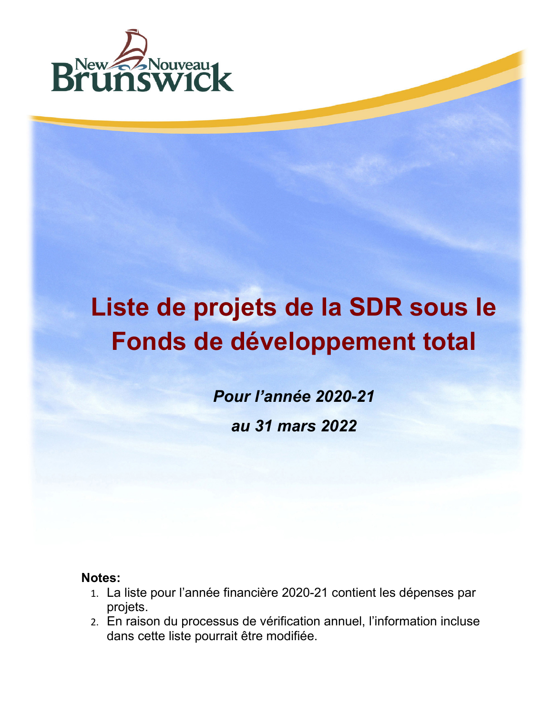

## **Liste de projets de la SDR sous le Fonds de développement total**

*Pour l'année 2020-21 au 31 mars 2022*

## **Notes:**

- 1. La liste pour l'année financière 2020-21 contient les dépenses par projets.
- 2. En raison du processus de vérification annuel, l'information incluse dans cette liste pourrait être modifiée.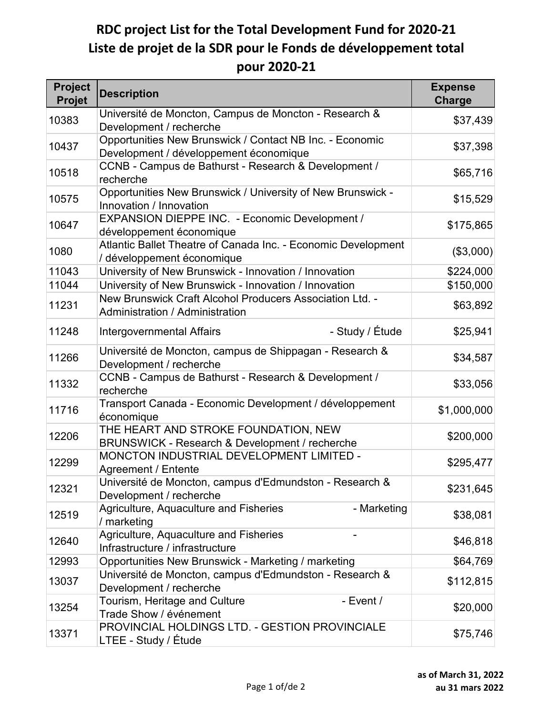## **RDC project List for the Total Development Fund for 2020-21 Liste de projet de la SDR pour le Fonds de développement total pour 2020-21**

| <b>Project</b><br>Projet | <b>Description</b>                                                                                 | <b>Expense</b><br><b>Charge</b> |
|--------------------------|----------------------------------------------------------------------------------------------------|---------------------------------|
| 10383                    | Université de Moncton, Campus de Moncton - Research &<br>Development / recherche                   | \$37,439                        |
| 10437                    | Opportunities New Brunswick / Contact NB Inc. - Economic<br>Development / développement économique | \$37,398                        |
| 10518                    | CCNB - Campus de Bathurst - Research & Development /<br>recherche                                  | \$65,716                        |
| 10575                    | Opportunities New Brunswick / University of New Brunswick -<br>Innovation / Innovation             | \$15,529                        |
| 10647                    | EXPANSION DIEPPE INC. - Economic Development /<br>développement économique                         | \$175,865                       |
| 1080                     | Atlantic Ballet Theatre of Canada Inc. - Economic Development<br>/ développement économique        | (\$3,000)                       |
| 11043                    | University of New Brunswick - Innovation / Innovation                                              | \$224,000                       |
| 11044                    | University of New Brunswick - Innovation / Innovation                                              | \$150,000                       |
| 11231                    | New Brunswick Craft Alcohol Producers Association Ltd. -<br>Administration / Administration        | \$63,892                        |
| 11248                    | - Study / Étude<br><b>Intergovernmental Affairs</b>                                                | \$25,941                        |
| 11266                    | Université de Moncton, campus de Shippagan - Research &<br>Development / recherche                 | \$34,587                        |
| 11332                    | CCNB - Campus de Bathurst - Research & Development /<br>recherche                                  | \$33,056                        |
| 11716                    | Transport Canada - Economic Development / développement<br>économique                              | \$1,000,000                     |
| 12206                    | THE HEART AND STROKE FOUNDATION, NEW<br>BRUNSWICK - Research & Development / recherche             | \$200,000                       |
| 12299                    | MONCTON INDUSTRIAL DEVELOPMENT LIMITED -<br>Agreement / Entente                                    | \$295,477                       |
| 12321                    | Université de Moncton, campus d'Edmundston - Research &<br>Development / recherche                 | \$231,645                       |
| 12519                    | - Marketing<br>Agriculture, Aquaculture and Fisheries<br>/ marketing                               | \$38,081                        |
| 12640                    | Agriculture, Aquaculture and Fisheries<br>Infrastructure / infrastructure                          | \$46,818                        |
| 12993                    | Opportunities New Brunswick - Marketing / marketing                                                | \$64,769                        |
| 13037                    | Université de Moncton, campus d'Edmundston - Research &<br>Development / recherche                 | \$112,815                       |
| 13254                    | Tourism, Heritage and Culture<br>- Event $/$<br>Trade Show / événement                             | \$20,000                        |
| 13371                    | PROVINCIAL HOLDINGS LTD. - GESTION PROVINCIALE<br>LTEE - Study / Étude                             | \$75,746                        |